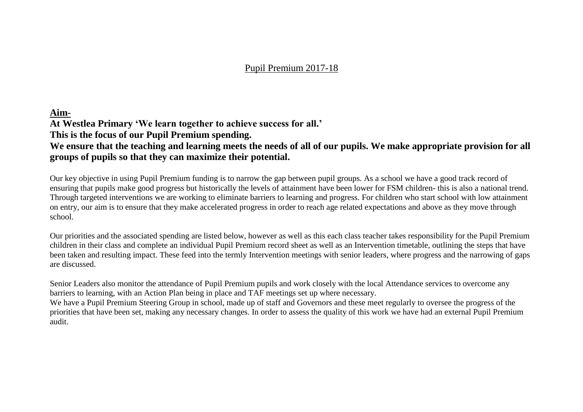#### Pupil Premium 2017-18

#### **Aim-**

**At Westlea Primary 'We learn together to achieve success for all.'**

**This is the focus of our Pupil Premium spending.**

#### **We ensure that the teaching and learning meets the needs of all of our pupils. We make appropriate provision for all groups of pupils so that they can maximize their potential.**

Our key objective in using Pupil Premium funding is to narrow the gap between pupil groups. As a school we have a good track record of ensuring that pupils make good progress but historically the levels of attainment have been lower for FSM children- this is also a national trend. Through targeted interventions we are working to eliminate barriers to learning and progress. For children who start school with low attainment on entry, our aim is to ensure that they make accelerated progress in order to reach age related expectations and above as they move through school.

Our priorities and the associated spending are listed below, however as well as this each class teacher takes responsibility for the Pupil Premium children in their class and complete an individual Pupil Premium record sheet as well as an Intervention timetable, outlining the steps that have been taken and resulting impact. These feed into the termly Intervention meetings with senior leaders, where progress and the narrowing of gaps are discussed.

Senior Leaders also monitor the attendance of Pupil Premium pupils and work closely with the local Attendance services to overcome any barriers to learning, with an Action Plan being in place and TAF meetings set up where necessary.

We have a Pupil Premium Steering Group in school, made up of staff and Governors and these meet regularly to oversee the progress of the priorities that have been set, making any necessary changes. In order to assess the quality of this work we have had an external Pupil Premium audit.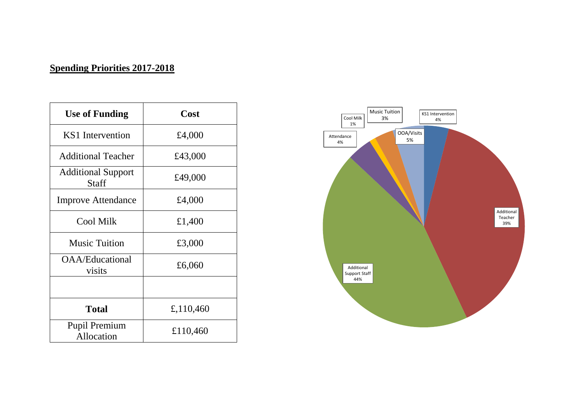## **Spending Priorities 2017-2018**

| <b>Use of Funding</b>                     | Cost      |
|-------------------------------------------|-----------|
| KS1 Intervention                          | £4,000    |
| <b>Additional Teacher</b>                 | £43,000   |
| <b>Additional Support</b><br><b>Staff</b> | £49,000   |
| <b>Improve Attendance</b>                 | £4,000    |
| <b>Cool Milk</b>                          | £1,400    |
| <b>Music Tuition</b>                      | £3,000    |
| <b>OAA/Educational</b><br>visits          | £6,060    |
|                                           |           |
| <b>Total</b>                              | £,110,460 |
| Pupil Premium<br>Allocation               | £110,460  |

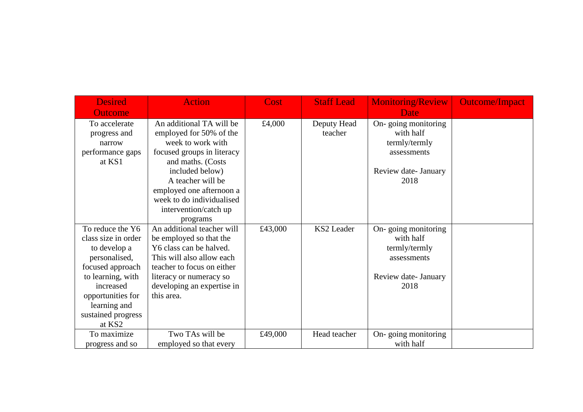| <b>Desired</b>      | <b>Action</b>              | Cost    | <b>Staff Lead</b> | <b>Monitoring/Review</b> | <b>Outcome/Impact</b> |
|---------------------|----------------------------|---------|-------------------|--------------------------|-----------------------|
| <b>Outcome</b>      |                            |         |                   | <b>Date</b>              |                       |
| To accelerate       | An additional TA will be   | £4,000  | Deputy Head       | On-going monitoring      |                       |
| progress and        | employed for 50% of the    |         | teacher           | with half                |                       |
| narrow              | week to work with          |         |                   | termly/termly            |                       |
| performance gaps    | focused groups in literacy |         |                   | assessments              |                       |
| at KS1              | and maths. (Costs          |         |                   |                          |                       |
|                     | included below)            |         |                   | Review date- January     |                       |
|                     | A teacher will be          |         |                   | 2018                     |                       |
|                     | employed one afternoon a   |         |                   |                          |                       |
|                     | week to do individualised  |         |                   |                          |                       |
|                     | intervention/catch up      |         |                   |                          |                       |
|                     | programs                   |         |                   |                          |                       |
| To reduce the Y6    | An additional teacher will | £43,000 | KS2 Leader        | On-going monitoring      |                       |
| class size in order | be employed so that the    |         |                   | with half                |                       |
| to develop a        | Y6 class can be halved.    |         |                   | termly/termly            |                       |
| personalised,       | This will also allow each  |         |                   | assessments              |                       |
| focused approach    | teacher to focus on either |         |                   |                          |                       |
| to learning, with   | literacy or numeracy so    |         |                   | Review date- January     |                       |
| increased           | developing an expertise in |         |                   | 2018                     |                       |
| opportunities for   | this area.                 |         |                   |                          |                       |
| learning and        |                            |         |                   |                          |                       |
| sustained progress  |                            |         |                   |                          |                       |
| at KS2              |                            |         |                   |                          |                       |
| To maximize         | Two TAs will be            | £49,000 | Head teacher      | On-going monitoring      |                       |
| progress and so     | employed so that every     |         |                   | with half                |                       |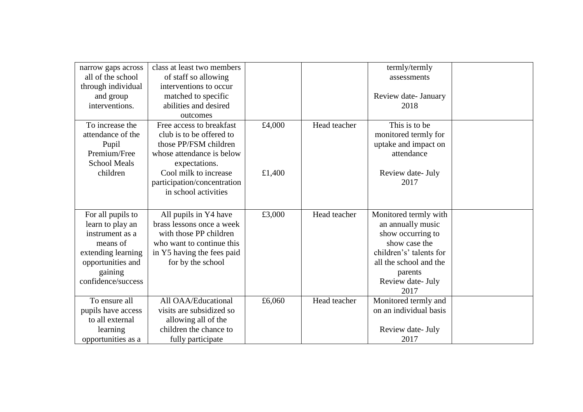| narrow gaps across  | class at least two members  |        |              | termly/termly           |  |
|---------------------|-----------------------------|--------|--------------|-------------------------|--|
| all of the school   | of staff so allowing        |        |              | assessments             |  |
| through individual  | interventions to occur      |        |              |                         |  |
| and group           | matched to specific         |        |              | Review date- January    |  |
| interventions.      | abilities and desired       |        |              | 2018                    |  |
|                     | outcomes                    |        |              |                         |  |
| To increase the     | Free access to breakfast    | £4,000 | Head teacher | This is to be           |  |
| attendance of the   | club is to be offered to    |        |              | monitored termly for    |  |
| Pupil               | those PP/FSM children       |        |              | uptake and impact on    |  |
| Premium/Free        | whose attendance is below   |        |              | attendance              |  |
| <b>School Meals</b> | expectations.               |        |              |                         |  |
| children            | Cool milk to increase       | £1,400 |              | Review date- July       |  |
|                     | participation/concentration |        |              | 2017                    |  |
|                     | in school activities        |        |              |                         |  |
|                     |                             |        |              |                         |  |
| For all pupils to   | All pupils in Y4 have       | £3,000 | Head teacher | Monitored termly with   |  |
| learn to play an    | brass lessons once a week   |        |              | an annually music       |  |
| instrument as a     | with those PP children      |        |              | show occurring to       |  |
| means of            | who want to continue this   |        |              | show case the           |  |
|                     |                             |        |              | children's' talents for |  |
| extending learning  | in Y5 having the fees paid  |        |              |                         |  |
| opportunities and   | for by the school           |        |              | all the school and the  |  |
| gaining             |                             |        |              | parents                 |  |
| confidence/success  |                             |        |              | Review date- July       |  |
|                     |                             |        |              | 2017                    |  |
| To ensure all       | All OAA/Educational         | £6,060 | Head teacher | Monitored termly and    |  |
| pupils have access  | visits are subsidized so    |        |              | on an individual basis  |  |
| to all external     | allowing all of the         |        |              |                         |  |
| learning            | children the chance to      |        |              | Review date- July       |  |
| opportunities as a  | fully participate           |        |              | 2017                    |  |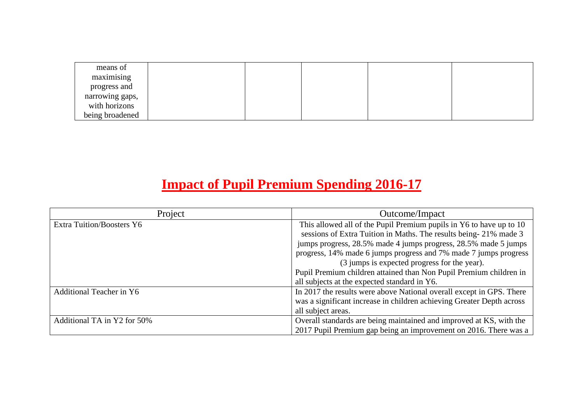| means of        |  |  |  |
|-----------------|--|--|--|
| maximising      |  |  |  |
| progress and    |  |  |  |
| narrowing gaps, |  |  |  |
| with horizons   |  |  |  |
| being broadened |  |  |  |

# **Impact of Pupil Premium Spending 2016-17**

| Project                          | Outcome/Impact                                                        |
|----------------------------------|-----------------------------------------------------------------------|
| <b>Extra Tuition/Boosters Y6</b> | This allowed all of the Pupil Premium pupils in Y6 to have up to 10   |
|                                  | sessions of Extra Tuition in Maths. The results being-21% made 3      |
|                                  | jumps progress, 28.5% made 4 jumps progress, 28.5% made 5 jumps       |
|                                  | progress, 14% made 6 jumps progress and 7% made 7 jumps progress      |
|                                  | (3 jumps is expected progress for the year).                          |
|                                  | Pupil Premium children attained than Non Pupil Premium children in    |
|                                  | all subjects at the expected standard in Y6.                          |
| Additional Teacher in Y6         | In 2017 the results were above National overall except in GPS. There  |
|                                  | was a significant increase in children achieving Greater Depth across |
|                                  | all subject areas.                                                    |
| Additional TA in Y2 for 50%      | Overall standards are being maintained and improved at KS, with the   |
|                                  | 2017 Pupil Premium gap being an improvement on 2016. There was a      |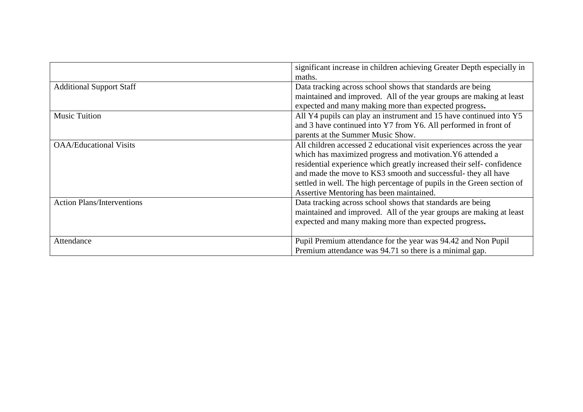|                                   | significant increase in children achieving Greater Depth especially in |  |  |
|-----------------------------------|------------------------------------------------------------------------|--|--|
|                                   | maths.                                                                 |  |  |
| <b>Additional Support Staff</b>   | Data tracking across school shows that standards are being             |  |  |
|                                   | maintained and improved. All of the year groups are making at least    |  |  |
|                                   | expected and many making more than expected progress.                  |  |  |
| <b>Music Tuition</b>              | All Y4 pupils can play an instrument and 15 have continued into Y5     |  |  |
|                                   | and 3 have continued into Y7 from Y6. All performed in front of        |  |  |
|                                   | parents at the Summer Music Show.                                      |  |  |
| <b>OAA/Educational Visits</b>     | All children accessed 2 educational visit experiences across the year  |  |  |
|                                   | which has maximized progress and motivation. Y6 attended a             |  |  |
|                                   | residential experience which greatly increased their self-confidence   |  |  |
|                                   | and made the move to KS3 smooth and successful- they all have          |  |  |
|                                   | settled in well. The high percentage of pupils in the Green section of |  |  |
|                                   | Assertive Mentoring has been maintained.                               |  |  |
| <b>Action Plans/Interventions</b> | Data tracking across school shows that standards are being             |  |  |
|                                   | maintained and improved. All of the year groups are making at least    |  |  |
|                                   | expected and many making more than expected progress.                  |  |  |
|                                   |                                                                        |  |  |
| Attendance                        | Pupil Premium attendance for the year was 94.42 and Non Pupil          |  |  |
|                                   | Premium attendance was 94.71 so there is a minimal gap.                |  |  |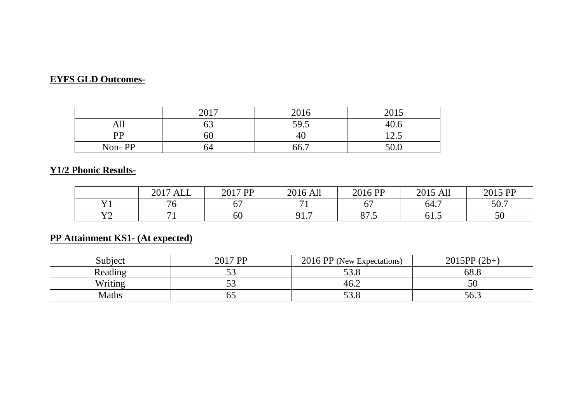## **EYFS GLD Outcomes-**

|              | 2017 | 2016 | 2015                     |
|--------------|------|------|--------------------------|
| All          |      | 59.5 | 40.6                     |
| $\mathbf{p}$ | OU   | 40   | $\cap$ $\subset$<br>⊥∠.J |
| Non-PP       | 54   | 66.7 | 50.0                     |

# **Y1/2 Phonic Results-**

|           | ALL<br>2017 | 2017 PP          | 2016 All       | 2016 PP       | 2015 All              | 2015 PP |
|-----------|-------------|------------------|----------------|---------------|-----------------------|---------|
| 3 T 1     | 76          | $\epsilon$<br>U. |                | --<br>v,      | 64.7                  | 50.7    |
| 370<br>∸∸ |             | 60               | 017<br>' * * 1 | Q75<br>0 I .J | $\epsilon$ 1<br>G. 10 | 50      |

## **PP Attainment KS1- (At expected)**

| Subject | 2017 PP   | 2016 PP (New Expectations) | $2015PP(2b+)$ |
|---------|-----------|----------------------------|---------------|
| Reading | ັບ        | 53 R<br>JJ.C               | 68.8          |
| Writing | - ^<br>ັບ | 46.2                       | 50            |
| Maths   | υJ        | <u>53.8</u>                | 56.3          |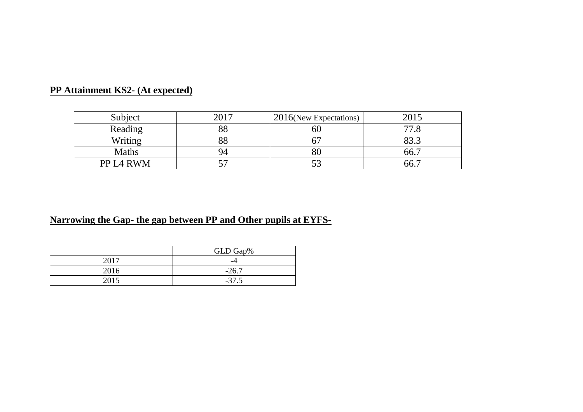| Subject               | 2017 | $12016$ (New Expectations) | 201  |
|-----------------------|------|----------------------------|------|
| Reading               | 88   |                            |      |
| Writing               |      |                            | ററ   |
| <b>Maths</b>          | 94   | ov                         | 66.7 |
| PP L <sub>4</sub> RWM | - '  | ັ                          | 66.  |

# **PP Attainment KS2- (At expected)**

## **Narrowing the Gap- the gap between PP and Other pupils at EYFS-**

|      | GLD Gap%     |
|------|--------------|
| 2017 | -4           |
| 2016 | $-26.7$      |
| 2015 | $-5^{\circ}$ |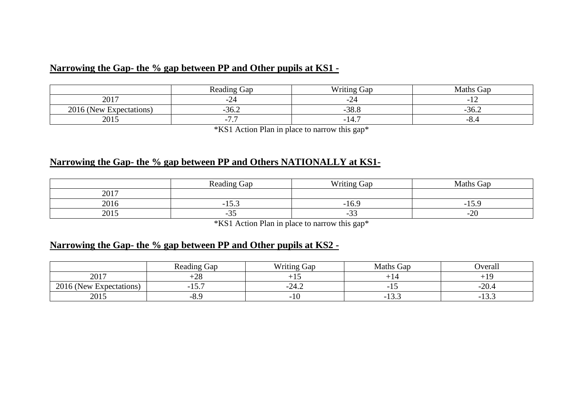#### **Narrowing the Gap- the % gap between PP and Other pupils at KS1 -**

|                         | <b>Reading Gap</b> | <b>Writing Gap</b> | Maths Gap |
|-------------------------|--------------------|--------------------|-----------|
| 2017                    | -24                | -44                |           |
| 2016 (New Expectations) | $-36.2$            | $-38.8$            | $-30.4$   |
| 2015                    | 77<br>- 1<br>. .   | -14.               | $-0.4$    |

\*KS1 Action Plan in place to narrow this gap\*

#### **Narrowing the Gap- the % gap between PP and Others NATIONALLY at KS1-**

|      | <b>Reading Gap</b>                          | <b>Writing Gap</b>                                   | Gap<br>Maths ( |
|------|---------------------------------------------|------------------------------------------------------|----------------|
| 2017 |                                             |                                                      |                |
| 2016 | $\overline{\phantom{0}}$<br>$1 \cup 1 \cup$ | $-10.4$                                              | - 1<br>- 11    |
| 2015 | - 7<br>ັ                                    | $\sim$ $\sim$<br>$\overline{\phantom{0}}$<br>- - - - | ററ<br>-40      |

\*KS1 Action Plan in place to narrow this gap\*

## **Narrowing the Gap- the % gap between PP and Other pupils at KS2 -**

|                         | $\sim$<br>Reading Gap | <b>Writing Gap</b> | Maths Gap | <b>D</b> veral                         |
|-------------------------|-----------------------|--------------------|-----------|----------------------------------------|
| 2017                    | $\bigcirc$<br>-20     |                    |           |                                        |
| 2016 (New Expectations) | - 1<br>1J             | -∠4.∠              |           | ററ<br>20.4<br>$\overline{\phantom{0}}$ |
| 2015                    | -0.5                  | $-10$              | ن ريد     | $ -$<br>10.J                           |